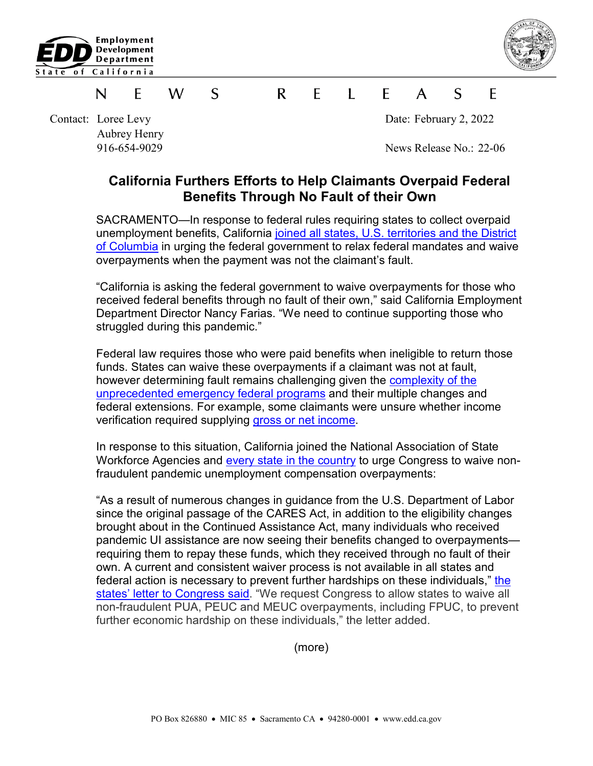



## S  $\mathsf{R}$  $\mathsf{F}$  $\blacksquare$  $\mathcal{S}$ F W  $\mathsf{A}$ F N

Contact: Loree Levy Date: February 2, 2022 Aubrey Henry

916-654-9029 News Release No.: 22-06

## **California Furthers Efforts to Help Claimants Overpaid Federal Benefits Through No Fault of their Own**

SACRAMENTO—In response to federal rules requiring states to collect overpaid unemployment benefits, California joined [all states, U.S. territories](https://www.naswa.org/government-relations/congressional-testimony/naswa-letter-on-pandemic-ui-requests) and the District of Columbia in urging the federal government to relax federal mandates and waive overpayments when the payment was not the claimant's fault.

"California is asking the federal government to waive overpayments for those who received federal benefits through no fault of their own," said California Employment Department Director Nancy Farias. "We need to continue supporting those who struggled during this pandemic."

Federal law requires those who were paid benefits when ineligible to return those funds. States can waive these overpayments if a claimant was not at fault, however determining fault remains challenging given the [complexity of the](https://wdr.doleta.gov/directives/corr_doc.cfm?docn=5899)  unprecedented [emergency federal programs](https://wdr.doleta.gov/directives/corr_doc.cfm?docn=5899) and their multiple changes and federal extensions. For example, some claimants were unsure whether income verification required supplying [gross or net income.](https://edd.ca.gov/unemployment/income-documentation.htm)

In response to this situation, California joined the National Association of State Workforce Agencies and [every state in the country](https://www.naswa.org/government-relations/congressional-testimony/naswa-letter-on-pandemic-ui-requests) to urge Congress to waive nonfraudulent pandemic unemployment compensation overpayments:

"As a result of numerous changes in guidance from the U.S. Department of Labor since the original passage of the CARES Act, in addition to the eligibility changes brought about in the Continued Assistance Act, many individuals who received pandemic UI assistance are now seeing their benefits changed to overpayments requiring them to repay these funds, which they received through no fault of their own. A current and consistent waiver process is not available in all states and federal action is necessary to prevent further hardships on these individuals," [the](https://www.naswa.org/government-relations/congressional-testimony/naswa-letter-on-pandemic-ui-requests)  [states' letter to Congress said.](https://www.naswa.org/government-relations/congressional-testimony/naswa-letter-on-pandemic-ui-requests) "We request Congress to allow states to waive all non-fraudulent PUA, PEUC and MEUC overpayments, including FPUC, to prevent further economic hardship on these individuals," the letter added.

(more)